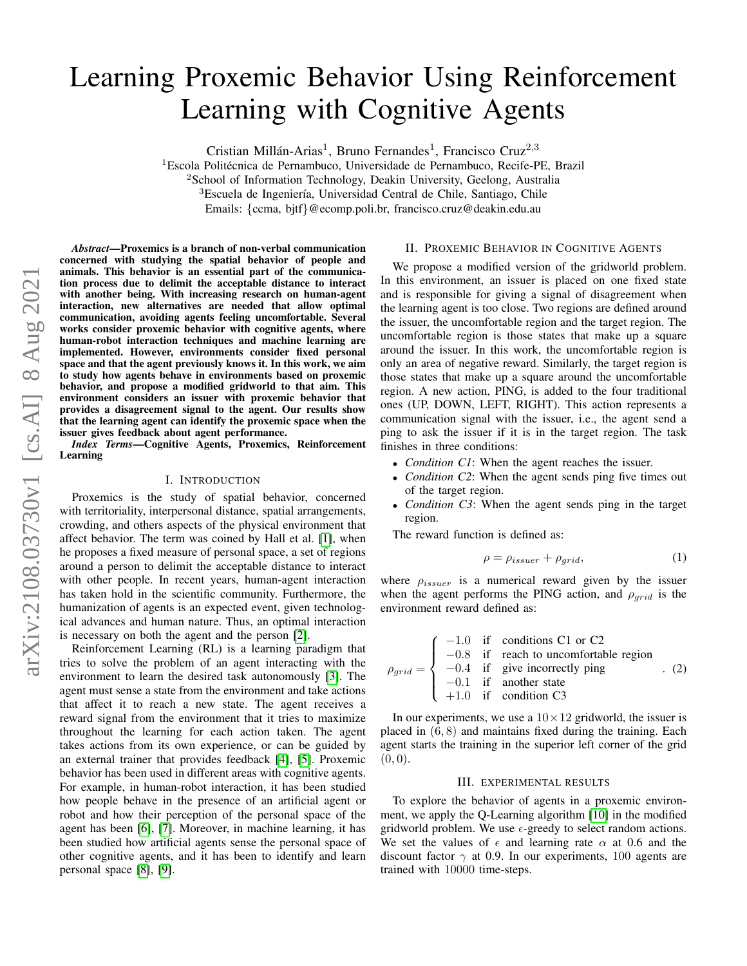# Learning Proxemic Behavior Using Reinforcement Learning with Cognitive Agents

Cristian Millán-Arias<sup>1</sup>, Bruno Fernandes<sup>1</sup>, Francisco Cruz<sup>2,3</sup>

 $1$ Escola Politécnica de Pernambuco, Universidade de Pernambuco, Recife-PE, Brazil

<sup>2</sup>School of Information Technology, Deakin University, Geelong, Australia

<sup>3</sup>Escuela de Ingeniería, Universidad Central de Chile, Santiago, Chile

Emails: {ccma, bjtf}@ecomp.poli.br, francisco.cruz@deakin.edu.au

*Abstract*—Proxemics is a branch of non-verbal communication concerned with studying the spatial behavior of people and animals. This behavior is an essential part of the communication process due to delimit the acceptable distance to interact with another being. With increasing research on human-agent interaction, new alternatives are needed that allow optimal communication, avoiding agents feeling uncomfortable. Several works consider proxemic behavior with cognitive agents, where human-robot interaction techniques and machine learning are implemented. However, environments consider fixed personal space and that the agent previously knows it. In this work, we aim to study how agents behave in environments based on proxemic behavior, and propose a modified gridworld to that aim. This environment considers an issuer with proxemic behavior that provides a disagreement signal to the agent. Our results show that the learning agent can identify the proxemic space when the issuer gives feedback about agent performance.

*Index Terms*—Cognitive Agents, Proxemics, Reinforcement Learning

## I. INTRODUCTION

Proxemics is the study of spatial behavior, concerned with territoriality, interpersonal distance, spatial arrangements, crowding, and others aspects of the physical environment that affect behavior. The term was coined by Hall et al. [\[1\]](#page-1-0), when he proposes a fixed measure of personal space, a set of regions around a person to delimit the acceptable distance to interact with other people. In recent years, human-agent interaction has taken hold in the scientific community. Furthermore, the humanization of agents is an expected event, given technological advances and human nature. Thus, an optimal interaction is necessary on both the agent and the person [\[2\]](#page-1-1).

Reinforcement Learning (RL) is a learning paradigm that tries to solve the problem of an agent interacting with the environment to learn the desired task autonomously [\[3\]](#page-1-2). The agent must sense a state from the environment and take actions that affect it to reach a new state. The agent receives a reward signal from the environment that it tries to maximize throughout the learning for each action taken. The agent takes actions from its own experience, or can be guided by an external trainer that provides feedback [\[4\]](#page-1-3), [\[5\]](#page-1-4). Proxemic behavior has been used in different areas with cognitive agents. For example, in human-robot interaction, it has been studied how people behave in the presence of an artificial agent or robot and how their perception of the personal space of the agent has been [\[6\]](#page-1-5), [\[7\]](#page-1-6). Moreover, in machine learning, it has been studied how artificial agents sense the personal space of other cognitive agents, and it has been to identify and learn personal space [\[8\]](#page-1-7), [\[9\]](#page-1-8).

## II. PROXEMIC BEHAVIOR IN COGNITIVE AGENTS

We propose a modified version of the gridworld problem. In this environment, an issuer is placed on one fixed state and is responsible for giving a signal of disagreement when the learning agent is too close. Two regions are defined around the issuer, the uncomfortable region and the target region. The uncomfortable region is those states that make up a square around the issuer. In this work, the uncomfortable region is only an area of negative reward. Similarly, the target region is those states that make up a square around the uncomfortable region. A new action, PING, is added to the four traditional ones (UP, DOWN, LEFT, RIGHT). This action represents a communication signal with the issuer, i.e., the agent send a ping to ask the issuer if it is in the target region. The task finishes in three conditions:

- *Condition C1*: When the agent reaches the issuer.
- *Condition C2*: When the agent sends ping five times out of the target region.
- *Condition C3*: When the agent sends ping in the target region.

The reward function is defined as:

$$
\rho = \rho_{issuer} + \rho_{grid},\tag{1}
$$

where  $\rho_{issuer}$  is a numerical reward given by the issuer when the agent performs the PING action, and  $\rho_{grid}$  is the environment reward defined as:

$$
\rho_{grid} = \begin{cases}\n-1.0 & \text{if conditions C1 or C2} \\
-0.8 & \text{if reach to uncomforthable region} \\
-0.4 & \text{if give incorrectly ping} \\
-0.1 & \text{if another state} \\
+1.0 & \text{if condition C3}\n\end{cases}
$$
.\n(2)

In our experiments, we use a  $10 \times 12$  gridworld, the issuer is placed in  $(6, 8)$  and maintains fixed during the training. Each agent starts the training in the superior left corner of the grid  $(0, 0).$ 

### III. EXPERIMENTAL RESULTS

To explore the behavior of agents in a proxemic environment, we apply the Q-Learning algorithm [\[10\]](#page-1-9) in the modified gridworld problem. We use  $\epsilon$ -greedy to select random actions. We set the values of  $\epsilon$  and learning rate  $\alpha$  at 0.6 and the discount factor  $\gamma$  at 0.9. In our experiments, 100 agents are trained with 10000 time-steps.